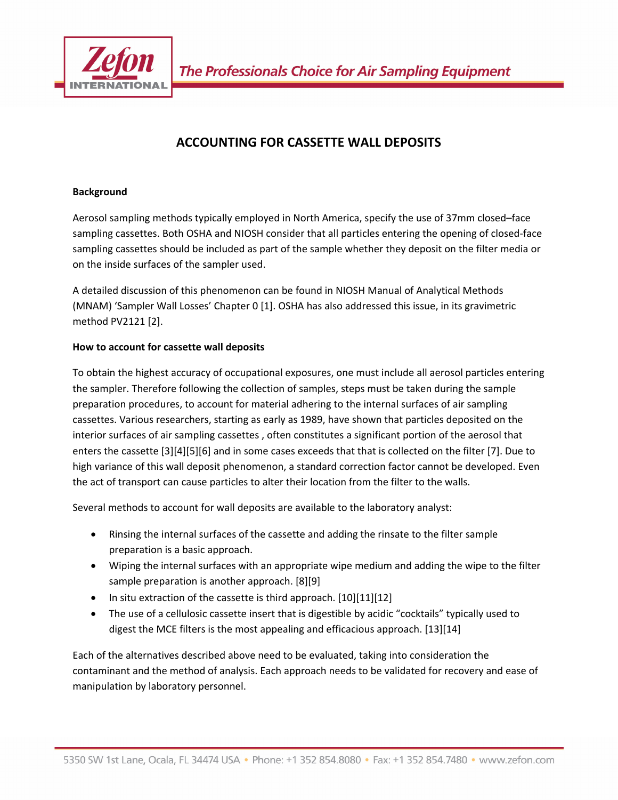

# **ACCOUNTING FOR CASSETTE WALL DEPOSITS**

# **Background**

Aerosol sampling methods typically employed in North America, specify the use of 37mm closed–face sampling cassettes. Both OSHA and NIOSH consider that all particles entering the opening of closed‐face sampling cassettes should be included as part of the sample whether they deposit on the filter media or on the inside surfaces of the sampler used.

A detailed discussion of this phenomenon can be found in NIOSH Manual of Analytical Methods (MNAM) 'Sampler Wall Losses' Chapter 0 [1]. OSHA has also addressed this issue, in its gravimetric method PV2121 [2].

# **How to account for cassette wall deposits**

To obtain the highest accuracy of occupational exposures, one must include all aerosol particles entering the sampler. Therefore following the collection of samples, steps must be taken during the sample preparation procedures, to account for material adhering to the internal surfaces of air sampling cassettes. Various researchers, starting as early as 1989, have shown that particles deposited on the interior surfaces of air sampling cassettes , often constitutes a significant portion of the aerosol that enters the cassette [3][4][5][6] and in some cases exceeds that that is collected on the filter [7]. Due to high variance of this wall deposit phenomenon, a standard correction factor cannot be developed. Even the act of transport can cause particles to alter their location from the filter to the walls.

Several methods to account for wall deposits are available to the laboratory analyst:

- Rinsing the internal surfaces of the cassette and adding the rinsate to the filter sample preparation is a basic approach.
- Wiping the internal surfaces with an appropriate wipe medium and adding the wipe to the filter sample preparation is another approach. [8][9]
- In situ extraction of the cassette is third approach. [10][11][12]
- The use of a cellulosic cassette insert that is digestible by acidic "cocktails" typically used to digest the MCE filters is the most appealing and efficacious approach. [13][14]

Each of the alternatives described above need to be evaluated, taking into consideration the contaminant and the method of analysis. Each approach needs to be validated for recovery and ease of manipulation by laboratory personnel.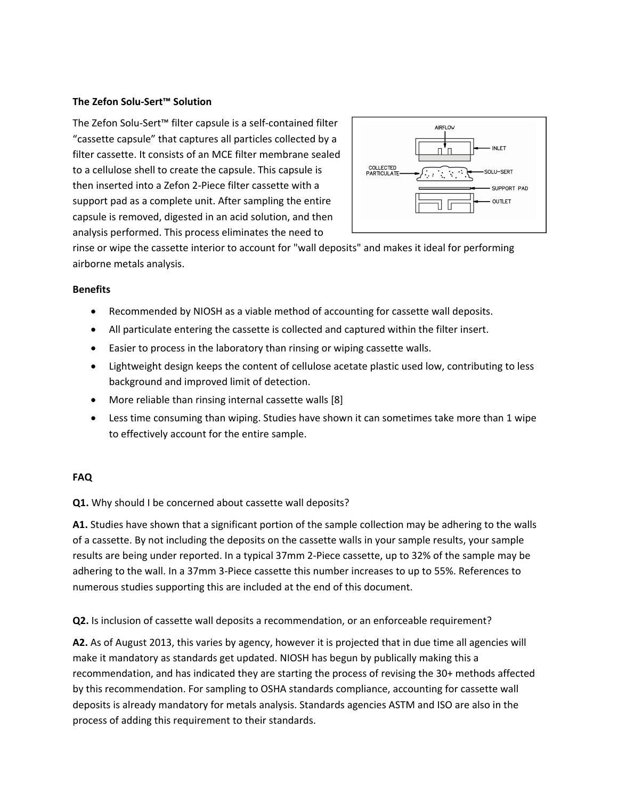#### **The Zefon Solu‐Sert™ Solution**

The Zefon Solu‐Sert™ filter capsule is a self‐contained filter "cassette capsule" that captures all particles collected by a filter cassette. It consists of an MCE filter membrane sealed to a cellulose shell to create the capsule. This capsule is then inserted into a Zefon 2‐Piece filter cassette with a support pad as a complete unit. After sampling the entire capsule is removed, digested in an acid solution, and then analysis performed. This process eliminates the need to



rinse or wipe the cassette interior to account for "wall deposits" and makes it ideal for performing airborne metals analysis.

#### **Benefits**

- Recommended by NIOSH as a viable method of accounting for cassette wall deposits.
- All particulate entering the cassette is collected and captured within the filter insert.
- Easier to process in the laboratory than rinsing or wiping cassette walls.
- Lightweight design keeps the content of cellulose acetate plastic used low, contributing to less background and improved limit of detection.
- More reliable than rinsing internal cassette walls [8]
- Less time consuming than wiping. Studies have shown it can sometimes take more than 1 wipe to effectively account for the entire sample.

## **FAQ**

**Q1.** Why should I be concerned about cassette wall deposits?

**A1.** Studies have shown that a significant portion of the sample collection may be adhering to the walls of a cassette. By not including the deposits on the cassette walls in your sample results, your sample results are being under reported. In a typical 37mm 2‐Piece cassette, up to 32% of the sample may be adhering to the wall. In a 37mm 3‐Piece cassette this number increases to up to 55%. References to numerous studies supporting this are included at the end of this document.

**Q2.** Is inclusion of cassette wall deposits a recommendation, or an enforceable requirement?

**A2.** As of August 2013, this varies by agency, however it is projected that in due time all agencies will make it mandatory as standards get updated. NIOSH has begun by publically making this a recommendation, and has indicated they are starting the process of revising the 30+ methods affected by this recommendation. For sampling to OSHA standards compliance, accounting for cassette wall deposits is already mandatory for metals analysis. Standards agencies ASTM and ISO are also in the process of adding this requirement to their standards.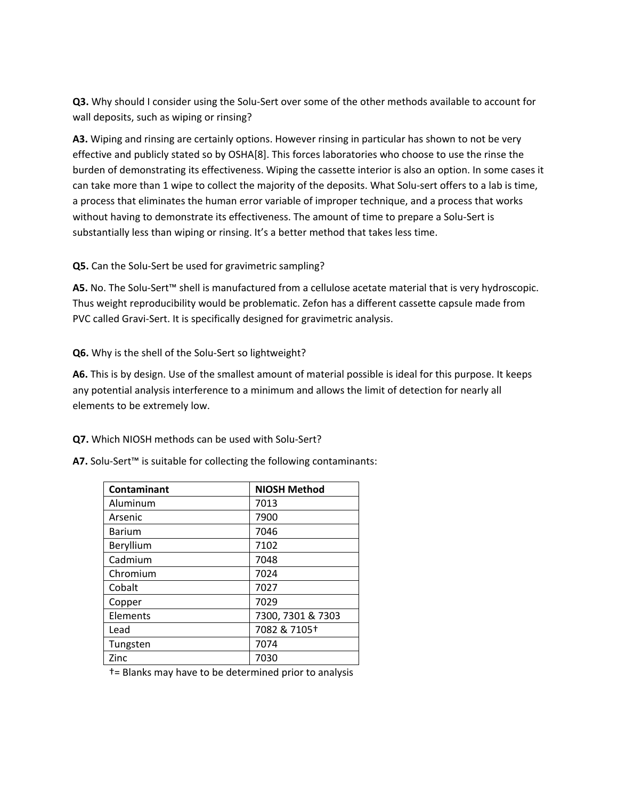**Q3.** Why should I consider using the Solu-Sert over some of the other methods available to account for wall deposits, such as wiping or rinsing?

**A3.** Wiping and rinsing are certainly options. However rinsing in particular has shown to not be very effective and publicly stated so by OSHA[8]. This forces laboratories who choose to use the rinse the burden of demonstrating its effectiveness. Wiping the cassette interior is also an option. In some cases it can take more than 1 wipe to collect the majority of the deposits. What Solu-sert offers to a lab is time, a process that eliminates the human error variable of improper technique, and a process that works without having to demonstrate its effectiveness. The amount of time to prepare a Solu-Sert is substantially less than wiping or rinsing. It's a better method that takes less time.

**Q5.** Can the Solu‐Sert be used for gravimetric sampling?

**A5.** No. The Solu‐Sert™ shell is manufactured from a cellulose acetate material that is very hydroscopic. Thus weight reproducibility would be problematic. Zefon has a different cassette capsule made from PVC called Gravi‐Sert. It is specifically designed for gravimetric analysis.

**Q6.** Why is the shell of the Solu‐Sert so lightweight?

**A6.** This is by design. Use of the smallest amount of material possible is ideal for this purpose. It keeps any potential analysis interference to a minimum and allows the limit of detection for nearly all elements to be extremely low.

**Q7.** Which NIOSH methods can be used with Solu‐Sert?

| Contaminant   | <b>NIOSH Method</b> |
|---------------|---------------------|
| Aluminum      | 7013                |
| Arsenic       | 7900                |
| <b>Barium</b> | 7046                |
| Beryllium     | 7102                |
| Cadmium       | 7048                |
| Chromium      | 7024                |
| Cobalt        | 7027                |
| Copper        | 7029                |
| Elements      | 7300, 7301 & 7303   |
| Lead          | 7082 & 7105+        |
| Tungsten      | 7074                |
| Zinc          | 7030                |

†= Blanks may have to be determined prior to analysis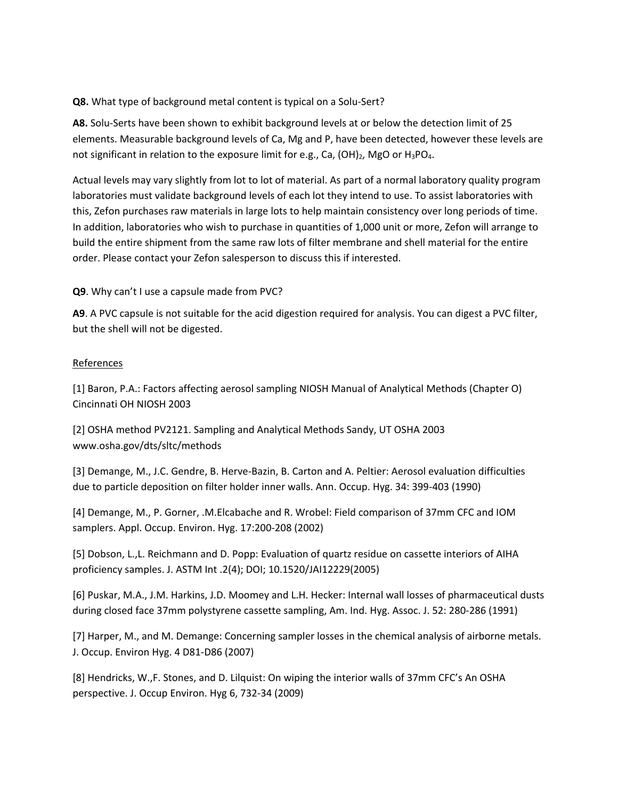## **Q8.** What type of background metal content is typical on a Solu‐Sert?

**A8.** Solu‐Serts have been shown to exhibit background levels at or below the detection limit of 25 elements. Measurable background levels of Ca, Mg and P, have been detected, however these levels are not significant in relation to the exposure limit for e.g., Ca,  $(OH)_2$ , MgO or  $H_3PO_4$ .

Actual levels may vary slightly from lot to lot of material. As part of a normal laboratory quality program laboratories must validate background levels of each lot they intend to use. To assist laboratories with this, Zefon purchases raw materials in large lots to help maintain consistency over long periods of time. In addition, laboratories who wish to purchase in quantities of 1,000 unit or more, Zefon will arrange to build the entire shipment from the same raw lots of filter membrane and shell material for the entire order. Please contact your Zefon salesperson to discuss this if interested.

# **Q9**. Why can't I use a capsule made from PVC?

**A9**. A PVC capsule is not suitable for the acid digestion required for analysis. You can digest a PVC filter, but the shell will not be digested.

## References

[1] Baron, P.A.: Factors affecting aerosol sampling NIOSH Manual of Analytical Methods (Chapter O) Cincinnati OH NIOSH 2003

[2] OSHA method PV2121. Sampling and Analytical Methods Sandy, UT OSHA 2003 www.osha.gov/dts/sltc/methods

[3] Demange, M., J.C. Gendre, B. Herve‐Bazin, B. Carton and A. Peltier: Aerosol evaluation difficulties due to particle deposition on filter holder inner walls. Ann. Occup. Hyg. 34: 399‐403 (1990)

[4] Demange, M., P. Gorner, .M.Elcabache and R. Wrobel: Field comparison of 37mm CFC and IOM samplers. Appl. Occup. Environ. Hyg. 17:200‐208 (2002)

[5] Dobson, L.,L. Reichmann and D. Popp: Evaluation of quartz residue on cassette interiors of AIHA proficiency samples. J. ASTM Int .2(4); DOI; 10.1520/JAI12229(2005)

[6] Puskar, M.A., J.M. Harkins, J.D. Moomey and L.H. Hecker: Internal wall losses of pharmaceutical dusts during closed face 37mm polystyrene cassette sampling, Am. Ind. Hyg. Assoc. J. 52: 280‐286 (1991)

[7] Harper, M., and M. Demange: Concerning sampler losses in the chemical analysis of airborne metals. J. Occup. Environ Hyg. 4 D81‐D86 (2007)

[8] Hendricks, W.,F. Stones, and D. Lilquist: On wiping the interior walls of 37mm CFC's An OSHA perspective. J. Occup Environ. Hyg 6, 732‐34 (2009)